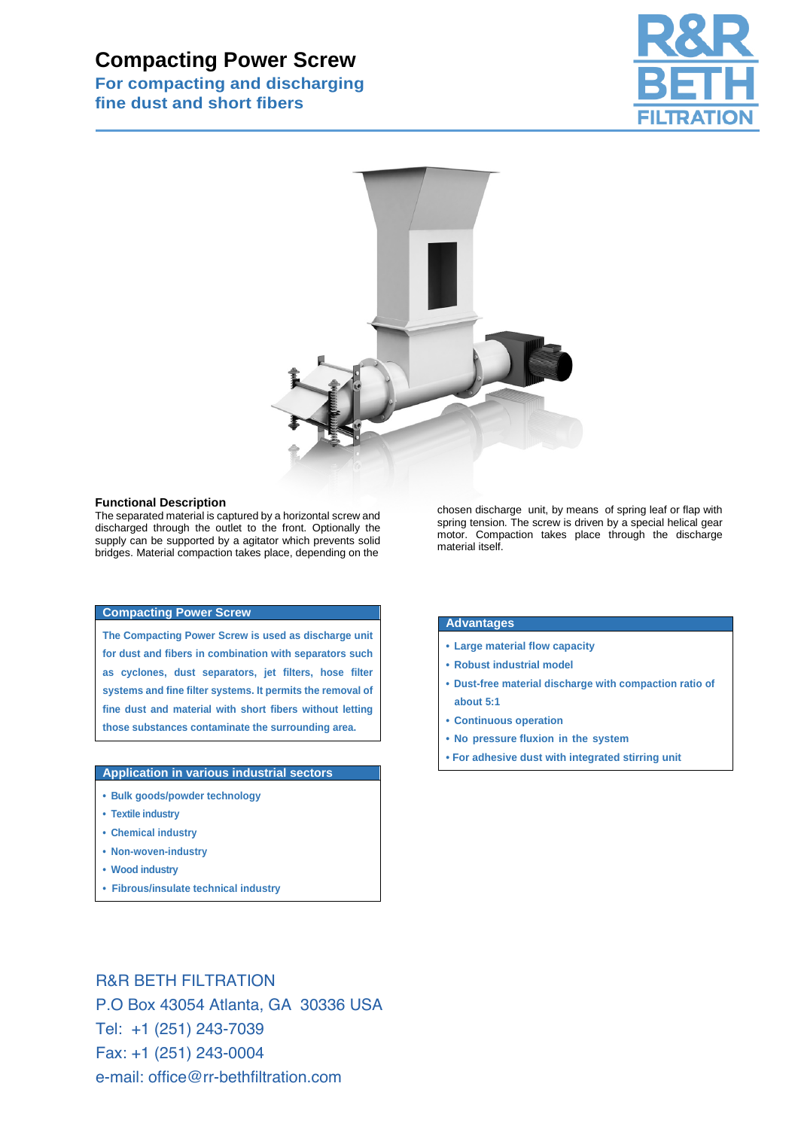# **Compacting Power Screw**

**For compacting and discharging fine dust and short fibers** 





### **Functional Description**

The separated material is captured by a horizontal screw and discharged through the outlet to the front. Optionally the supply can be supported by a agitator which prevents solid bridges. Material compaction takes place, depending on the

#### **Compacting Power Screw**

**The Compacting Power Screw is used as discharge unit for dust and fibers in combination with separators such as cyclones, dust separators, jet filters, hose filter systems and fine filter systems. It permits the removal of fine dust and material with short fibers without letting those substances contaminate the surrounding area.** 

# **Application in various industrial sectors**

- **Bulk goods/powder technology**
- **Textile industry**
- **Chemical industry**
- **Non-woven-industry**
- **Wood industry**
- **Fibrous/insulate technical industry**

chosen discharge unit, by means of spring leaf or flap with spring tension. The screw is driven by a special helical gear motor. Compaction takes place through the discharge material itself.

# **Advantages**

- **Large material flow capacity**
- **Robust industrial model**
- **Dust-free material discharge with compaction ratio of about 5:1**
- **Continuous operation**
- **No pressure fluxion in the system**
- **For adhesive dust with integrated stirring unit**

R&R BETH FILTRATION P.O Box 43054 Atlanta, GA 30336 USA Tel: +1 (251) 243-7039 Fax: +1 (251) 243-0004 e-mail: office@rr-bethfiltration.com